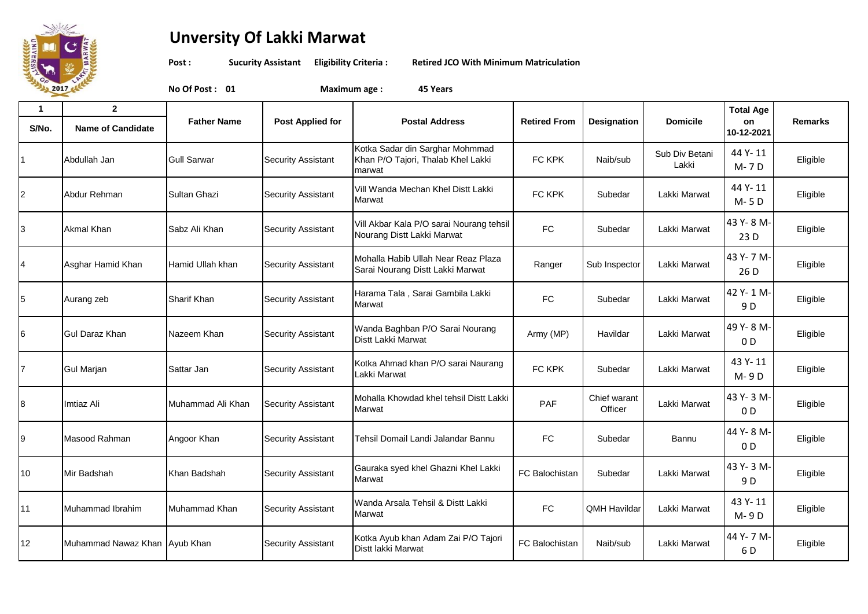

## **Unversity Of Lakki Marwat**

**Post : Sucurity Assistant Eligibility Criteria : Retired JCO With Minimum Matriculation**

**No Of Post : 01 Maximum age : 45 Years**

| 1<br>S/No.     | $\overline{2}$<br><b>Name of Candidate</b> | <b>Father Name</b> | <b>Post Applied for</b>   | <b>Postal Address</b>                                                           | <b>Retired From</b>   | Designation             | <b>Domicile</b>         | <b>Total Age</b><br>on<br>10-12-2021 | <b>Remarks</b> |
|----------------|--------------------------------------------|--------------------|---------------------------|---------------------------------------------------------------------------------|-----------------------|-------------------------|-------------------------|--------------------------------------|----------------|
|                | Abdullah Jan                               | <b>Gull Sarwar</b> | <b>Security Assistant</b> | Kotka Sadar din Sarghar Mohmmad<br>Khan P/O Tajori, Thalab Khel Lakki<br>marwat | FC KPK                | Naib/sub                | Sub Div Betani<br>Lakki | 44 Y-11<br>M-7D                      | Eligible       |
| $\overline{c}$ | Abdur Rehman                               | Sultan Ghazi       | <b>Security Assistant</b> | Vill Wanda Mechan Khel Distt Lakki<br>Marwat                                    | FC KPK                | Subedar                 | Lakki Marwat            | 44 Y-11<br>M-5D                      | Eligible       |
| $\overline{3}$ | <b>Akmal Khan</b>                          | Sabz Ali Khan      | <b>Security Assistant</b> | Vill Akbar Kala P/O sarai Nourang tehsil<br>Nourang Distt Lakki Marwat          | <b>FC</b>             | Subedar                 | Lakki Marwat            | 43 Y-8 M-<br>23 D                    | Eligible       |
| 4              | Asghar Hamid Khan                          | Hamid Ullah khan   | <b>Security Assistant</b> | Mohalla Habib Ullah Near Reaz Plaza<br>Sarai Nourang Distt Lakki Marwat         | Ranger                | Sub Inspector           | Lakki Marwat            | 43 Y-7 M-<br>26 D                    | Eligible       |
| 5              | Aurang zeb                                 | Sharif Khan        | <b>Security Assistant</b> | Harama Tala, Sarai Gambila Lakki<br>Marwat                                      | ${\sf FC}$            | Subedar                 | Lakki Marwat            | 42 Y-1 M-<br>9 D                     | Eligible       |
| 6              | <b>Gul Daraz Khan</b>                      | Nazeem Khan        | <b>Security Assistant</b> | Wanda Baghban P/O Sarai Nourang<br>Distt Lakki Marwat                           | Army (MP)             | Havildar                | Lakki Marwat            | 49 Y-8 M-<br>0 <sub>D</sub>          | Eligible       |
| $\overline{7}$ | <b>Gul Marjan</b>                          | Sattar Jan         | <b>Security Assistant</b> | Kotka Ahmad khan P/O sarai Naurang<br>Lakki Marwat                              | FC KPK                | Subedar                 | Lakki Marwat            | 43 Y-11<br>M-9D                      | Eligible       |
| 8              | Imtiaz Ali                                 | Muhammad Ali Khan  | <b>Security Assistant</b> | Mohalla Khowdad khel tehsil Distt Lakki<br>Marwat                               | PAF                   | Chief warant<br>Officer | Lakki Marwat            | 43 Y-3 M-<br>0 <sub>D</sub>          | Eligible       |
| 9              | Masood Rahman                              | Angoor Khan        | <b>Security Assistant</b> | Tehsil Domail Landi Jalandar Bannu                                              | ${\sf FC}$            | Subedar                 | Bannu                   | 44 Y-8 M-<br>0 <sub>D</sub>          | Eligible       |
| 10             | Mir Badshah                                | Khan Badshah       | <b>Security Assistant</b> | Gauraka syed khel Ghazni Khel Lakki<br>Marwat                                   | <b>FC Balochistan</b> | Subedar                 | Lakki Marwat            | 43 Y-3 M-<br>9 D                     | Eligible       |
| 11             | Muhammad Ibrahim                           | Muhammad Khan      | <b>Security Assistant</b> | Wanda Arsala Tehsil & Distt Lakki<br>Marwat                                     | ${\sf FC}$            | <b>QMH Havildar</b>     | Lakki Marwat            | 43 Y-11<br>M-9D                      | Eligible       |
| 12             | Muhammad Nawaz Khan Ayub Khan              |                    | <b>Security Assistant</b> | Kotka Ayub khan Adam Zai P/O Tajori<br>Distt lakki Marwat                       | FC Balochistan        | Naib/sub                | Lakki Marwat            | 44 Y-7 M-<br>6 D                     | Eligible       |